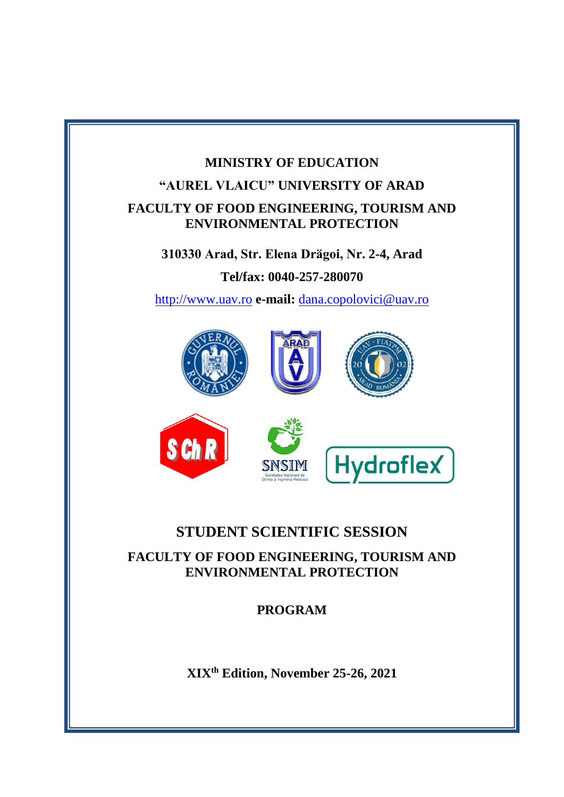# **MINISTRY OF EDUCATION "AUREL VLAICU" UNIVERSITY OF ARAD FACULTY OF FOOD ENGINEERING, TOURISM AND ENVIRONMENTAL PROTECTION**

**310330 Arad, Str. Elena Drӑgoi, Nr. 2-4, Arad**

**Tel/fax: 0040-257-280070**

[http://www.uav.ro](http://www.uav.ro/) **e-mail:** [dana.copolovici@uav.ro](mailto:dana.copolovici@uav.ro)



## **STUDENT SCIENTIFIC SESSION**

**FACULTY OF FOOD ENGINEERING, TOURISM AND ENVIRONMENTAL PROTECTION**

**PROGRAM**

**XIXth Edition, November 25-26, 2021**

**ARAD, ROMANIA**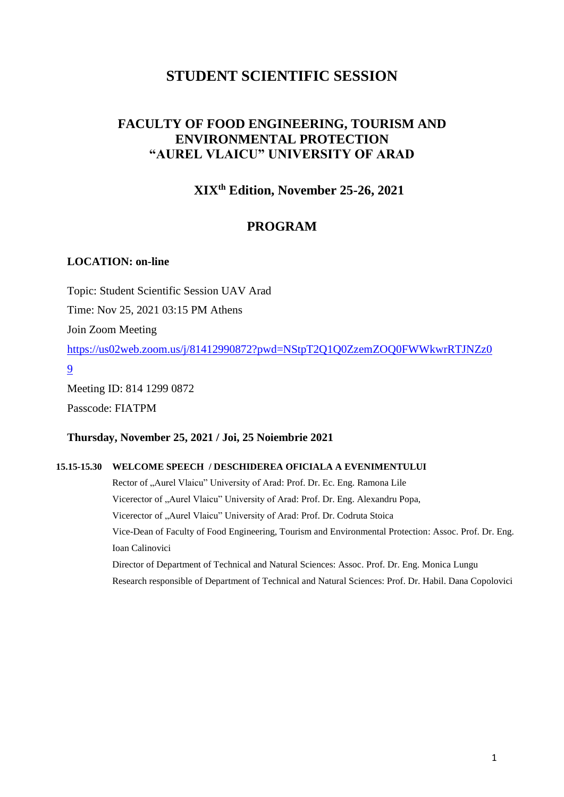## **STUDENT SCIENTIFIC SESSION**

## **FACULTY OF FOOD ENGINEERING, TOURISM AND ENVIRONMENTAL PROTECTION "AUREL VLAICU" UNIVERSITY OF ARAD**

## **XIXth Edition, November 25-26, 2021**

## **PROGRAM**

### **LOCATION: on-line**

Topic: Student Scientific Session UAV Arad

Time: Nov 25, 2021 03:15 PM Athens

Join Zoom Meeting

[https://us02web.zoom.us/j/81412990872?pwd=NStpT2Q1Q0ZzemZOQ0FWWkwrRTJNZz0](https://us02web.zoom.us/j/81412990872?pwd=NStpT2Q1Q0ZzemZOQ0FWWkwrRTJNZz09) [9](https://us02web.zoom.us/j/81412990872?pwd=NStpT2Q1Q0ZzemZOQ0FWWkwrRTJNZz09)

Meeting ID: 814 1299 0872 Passcode: FIATPM

### **Thursday, November 25, 2021 / Joi, 25 Noiembrie 2021**

### **15.15-15.30 WELCOME SPEECH / DESCHIDEREA OFICIALA A EVENIMENTULUI**

Rector of "Aurel Vlaicu" University of Arad: Prof. Dr. Ec. Eng. Ramona Lile Vicerector of "Aurel Vlaicu" University of Arad: Prof. Dr. Eng. Alexandru Popa, Vicerector of "Aurel Vlaicu" University of Arad: Prof. Dr. Codruta Stoica Vice-Dean of Faculty of Food Engineering, Tourism and Environmental Protection: Assoc. Prof. Dr. Eng. Ioan Calinovici Director of Department of Technical and Natural Sciences: Assoc. Prof. Dr. Eng. Monica Lungu

Research responsible of Department of Technical and Natural Sciences: Prof. Dr. Habil. Dana Copolovici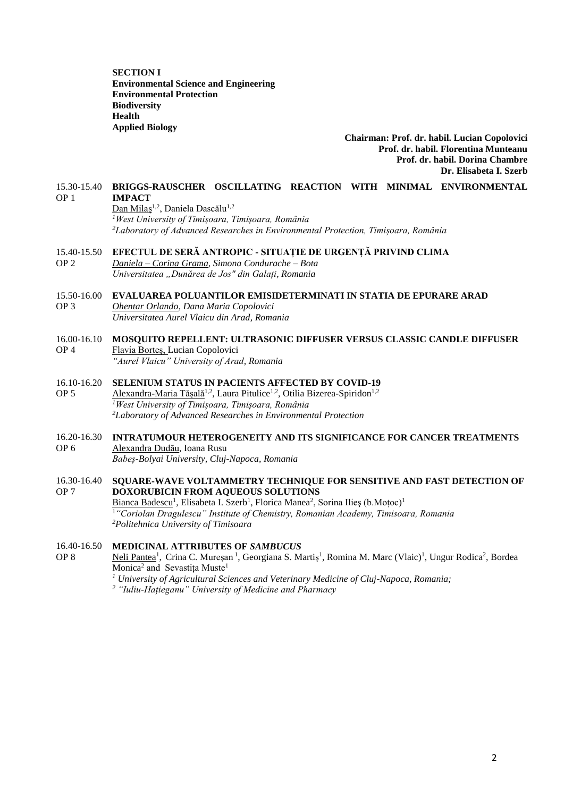**SECTION I Environmental Science and Engineering Environmental Protection Biodiversity Health Applied Biology**

> **Chairman: Prof. dr. habil. Lucian Copolovici Prof. dr. habil. Florentina Munteanu Prof. dr. habil. Dorina Chambre Dr. Elisabeta I. Szerb**

#### 15.30-15.40 OP 1 **BRIGGS-RAUSCHER OSCILLATING REACTION WITH MINIMAL ENVIRONMENTAL IMPACT**

Dan Milaș<sup>1,2</sup>, Daniela Dascălu<sup>1,2</sup> *<sup>1</sup>West University of Timișoara, Timișoara, România <sup>2</sup>Laboratory of Advanced Researches in Environmental Protection, Timișoara, România*

- 15.40-15.50 **EFECTUL DE SERĂ ANTROPIC - SITUAȚIE DE URGENȚĂ PRIVIND CLIMA**
- OP 2 *Daniela – Corina Grama, Simona Condurache – Bota Universitatea "Dunărea de Jos" din Galați, Romania*

#### 15.50-16.00 **EVALUAREA POLUANTILOR EMISIDETERMINATI IN STATIA DE EPURARE ARAD**

OP 3 *Ohentar Orlando, Dana Maria Copolovici Universitatea Aurel Vlaicu din Arad, Romania*

#### 16.00-16.10 OP 4 **MOSQUITO REPELLENT: ULTRASONIC DIFFUSER VERSUS CLASSIC CANDLE DIFFUSER** Flavia Borteş, Lucian Copolovici *"Aurel Vlaicu" University of Arad, Romania*

#### 16.10-16.20 OP 5 **SELENIUM STATUS IN PACIENTS AFFECTED BY COVID-19** Alexandra-Maria Tășală<sup>1,2</sup>, Laura Pitulice<sup>1,2</sup>, Otilia Bizerea-Spiridon<sup>1,2</sup> *<sup>1</sup>West University of Timișoara, Timișoara, România <sup>2</sup>Laboratory of Advanced Researches in Environmental Protection*

#### 16.20-16.30 OP 6 **INTRATUMOUR HETEROGENEITY AND ITS SIGNIFICANCE FOR CANCER TREATMENTS** Alexandra Dudău, Ioana Rusu *Babeș-Bolyai University, Cluj-Napoca, Romania*

#### 16.30-16.40 OP 7 **SQUARE-WAVE VOLTAMMETRY TECHNIQUE FOR SENSITIVE AND FAST DETECTION OF DOXORUBICIN FROM AQUEOUS SOLUTIONS** Bianca Badescu<sup>1</sup>, Elisabeta I. Szerb<sup>1</sup>, Florica Manea<sup>2</sup>, Sorina Ilieș (b.Moțoc)<sup>1</sup> <sup>1</sup>*"Coriolan Dragulescu" Institute of Chemistry, Romanian Academy, Timisoara, Romania <sup>2</sup>Politehnica University of Timisoara*

#### 16.40-16.50 OP 8 **MEDICINAL ATTRIBUTES OF** *SAMBUCUS*

Neli Pantea<sup>1</sup>, Crina C. Mureșan<sup>1</sup>, Georgiana S. Martiș<sup>1</sup>, Romina M. Marc (Vlaic)<sup>1</sup>, Ungur Rodica<sup>2</sup>, Bordea Monica<sup>2</sup> and Sevastița Muste<sup>1</sup>

*<sup>1</sup> University of Agricultural Sciences and Veterinary Medicine of Cluj-Napoca, Romania;*

*<sup>2</sup> "Iuliu-Hațieganu" University of Medicine and Pharmacy*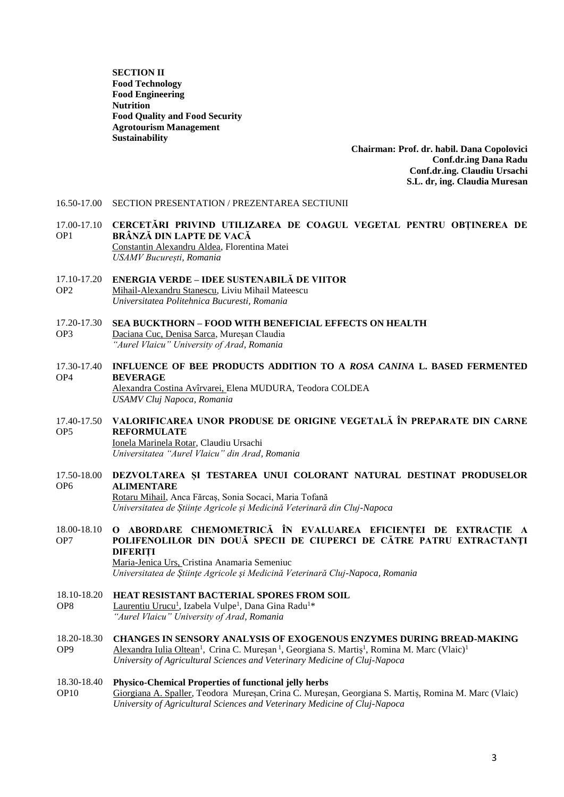**SECTION II Food Technology Food Engineering Nutrition Food Quality and Food Security Agrotourism Management Sustainability**

> **Chairman: Prof. dr. habil. Dana Copolovici Conf.dr.ing Dana Radu Conf.dr.ing. Claudiu Ursachi S.L. dr, ing. Claudia Muresan**

- 16.50-17.00 SECTION PRESENTATION / PREZENTAREA SECTIUNII
- 17.00-17.10 **CERCETĂRI PRIVIND UTILIZAREA DE COAGUL VEGETAL PENTRU OBȚINEREA DE**  OP1 **BRÂNZĂ DIN LAPTE DE VACĂ** Constantin Alexandru Aldea, Florentina Matei *USAMV București, Romania*
- 17.10-17.20 OP2 **ENERGIA VERDE – IDEE SUSTENABILĂ DE VIITOR** Mihail-Alexandru Stanescu, Liviu Mihail Mateescu *Universitatea Politehnica Bucuresti, Romania*

### 17.20-17.30 **SEA BUCKTHORN – FOOD WITH BENEFICIAL EFFECTS ON HEALTH**

- OP3 Daciana Cuc, Denisa Sarca, Mureșan Claudia *"Aurel Vlaicu" University of Arad, Romania*
- 17.30-17.40 **INFLUENCE OF BEE PRODUCTS ADDITION TO A** *ROSA CANINA* **L. BASED FERMENTED**  OP4 **BEVERAGE** Alexandra Costina Avîrvarei, Elena MUDURA, Teodora COLDEA *USAMV Cluj Napoca, Romania*
- 17.40-17.50 OP5 **VALORIFICAREA UNOR PRODUSE DE ORIGINE VEGETALĂ ÎN PREPARATE DIN CARNE REFORMULATE**

Ionela Marinela Rotar, Claudiu Ursachi *Universitatea "Aurel Vlaicu" din Arad, Romania*

17.50-18.00 **DEZVOLTAREA ȘI TESTAREA UNUI COLORANT NATURAL DESTINAT PRODUSELOR**  OP6 **ALIMENTARE**

Rotaru Mihail, Anca Fărcaș, Sonia Socaci, Maria Tofană *Universitatea de Științe Agricole și Medicină Veterinară din Cluj-Napoca*

18.00-18.10 OP7 **O ABORDARE CHEMOMETRICĂ ÎN EVALUAREA EFICIENȚEI DE EXTRACȚIE A POLIFENOLILOR DIN DOUĂ SPECII DE CIUPERCI DE CĂTRE PATRU EXTRACTANŢI DIFERIȚI** Maria-Jenica Urs, Cristina Anamaria Semeniuc

*Universitatea de Ştiinţe Agricole şi Medicină Veterinară Cluj-Napoca, Romania*

- 18.10-18.20 **HEAT RESISTANT BACTERIAL SPORES FROM SOIL**
- OP8 Laurentiu Urucu<sup>1</sup>, Izabela Vulpe<sup>1</sup>, Dana Gina Radu<sup>1</sup>\* *"Aurel Vlaicu" University of Arad, Romania*
- 18.20-18.30 OP9 **CHANGES IN SENSORY ANALYSIS OF EXOGENOUS ENZYMES DURING BREAD-MAKING** Alexandra Iulia Oltean<sup>1</sup>, Crina C. Mureșan<sup>1</sup>, Georgiana S. Martiș<sup>1</sup>, Romina M. Marc (Vlaic)<sup>1</sup> *University of Agricultural Sciences and Veterinary Medicine of Cluj-Napoca*

#### 18.30-18.40 **Physico-Chemical Properties of functional jelly herbs**

OP10 Giorgiana A. Spaller, Teodora Mureșan, Crina C. Mureșan, Georgiana S. Martiș, Romina M. Marc (Vlaic) *University of Agricultural Sciences and Veterinary Medicine of Cluj-Napoca*